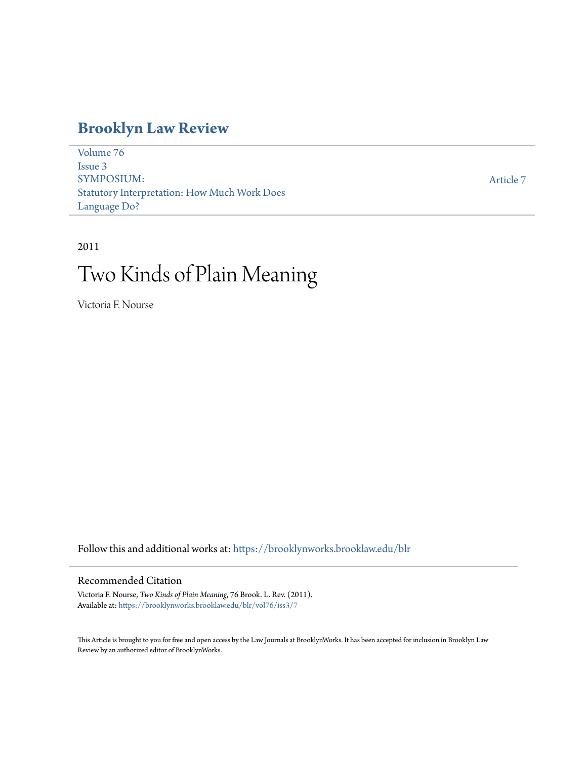## **[Brooklyn Law Review](https://brooklynworks.brooklaw.edu/blr?utm_source=brooklynworks.brooklaw.edu%2Fblr%2Fvol76%2Fiss3%2F7&utm_medium=PDF&utm_campaign=PDFCoverPages)**

[Volume 76](https://brooklynworks.brooklaw.edu/blr/vol76?utm_source=brooklynworks.brooklaw.edu%2Fblr%2Fvol76%2Fiss3%2F7&utm_medium=PDF&utm_campaign=PDFCoverPages) [Issue 3](https://brooklynworks.brooklaw.edu/blr/vol76/iss3?utm_source=brooklynworks.brooklaw.edu%2Fblr%2Fvol76%2Fiss3%2F7&utm_medium=PDF&utm_campaign=PDFCoverPages) SYMPOSIUM: Statutory Interpretation: How Much Work Does Language Do?

[Article 7](https://brooklynworks.brooklaw.edu/blr/vol76/iss3/7?utm_source=brooklynworks.brooklaw.edu%2Fblr%2Fvol76%2Fiss3%2F7&utm_medium=PDF&utm_campaign=PDFCoverPages)

#### 2011

# Two Kinds of Plain Meaning

Victoria F. Nourse

Follow this and additional works at: [https://brooklynworks.brooklaw.edu/blr](https://brooklynworks.brooklaw.edu/blr?utm_source=brooklynworks.brooklaw.edu%2Fblr%2Fvol76%2Fiss3%2F7&utm_medium=PDF&utm_campaign=PDFCoverPages)

### Recommended Citation

Victoria F. Nourse, *Two Kinds of Plain Meaning*, 76 Brook. L. Rev. (2011). Available at: [https://brooklynworks.brooklaw.edu/blr/vol76/iss3/7](https://brooklynworks.brooklaw.edu/blr/vol76/iss3/7?utm_source=brooklynworks.brooklaw.edu%2Fblr%2Fvol76%2Fiss3%2F7&utm_medium=PDF&utm_campaign=PDFCoverPages)

This Article is brought to you for free and open access by the Law Journals at BrooklynWorks. It has been accepted for inclusion in Brooklyn Law Review by an authorized editor of BrooklynWorks.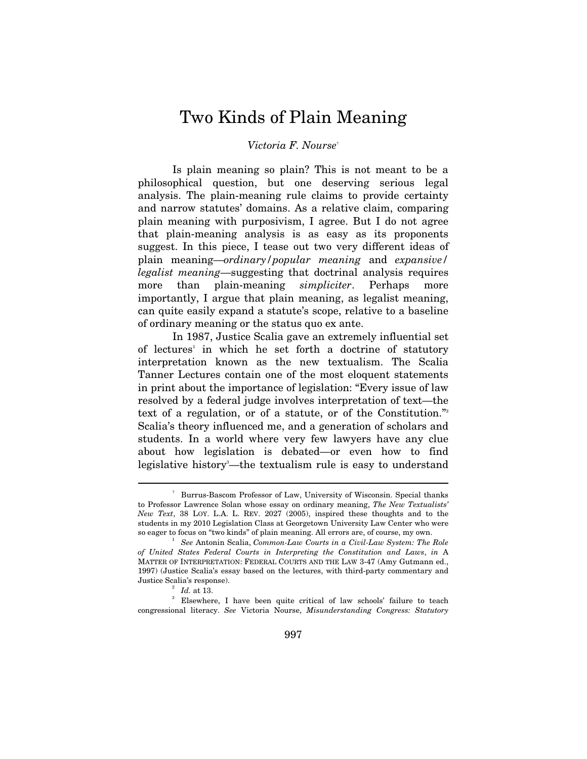## Two Kinds of Plain Meaning

#### *Victoria F. Nourse*†

Is plain meaning so plain? This is not meant to be a philosophical question, but one deserving serious legal analysis. The plain-meaning rule claims to provide certainty and narrow statutes' domains. As a relative claim, comparing plain meaning with purposivism, I agree. But I do not agree that plain-meaning analysis is as easy as its proponents suggest. In this piece, I tease out two very different ideas of plain meaning—*ordinary/popular meaning* and *expansive/ legalist meaning*—suggesting that doctrinal analysis requires more than plain-meaning *simpliciter*. Perhaps more importantly, I argue that plain meaning, as legalist meaning, can quite easily expand a statute's scope, relative to a baseline of ordinary meaning or the status quo ex ante.

In 1987, Justice Scalia gave an extremely influential set of lectures<sup>1</sup> in which he set forth a doctrine of statutory interpretation known as the new textualism. The Scalia Tanner Lectures contain one of the most eloquent statements in print about the importance of legislation: "Every issue of law resolved by a federal judge involves interpretation of text—the text of a regulation, or of a statute, or of the Constitution."2 Scalia's theory influenced me, and a generation of scholars and students. In a world where very few lawyers have any clue about how legislation is debated—or even how to find legislative history<sup>3</sup>—the textualism rule is easy to understand

<sup>†</sup> Burrus-Bascom Professor of Law, University of Wisconsin. Special thanks to Professor Lawrence Solan whose essay on ordinary meaning, *The New Textualists' New Text*, 38 LOY. L.A. L. REV. 2027 (2005), inspired these thoughts and to the students in my 2010 Legislation Class at Georgetown University Law Center who were so eager to focus on "two kinds" of plain meaning. All errors are, of course, my own. 1

*See* Antonin Scalia, *Common-Law Courts in a Civil-Law System: The Role of United States Federal Courts in Interpreting the Constitution and Laws*, *in* A MATTER OF INTERPRETATION: FEDERAL COURTS AND THE LAW 3-47 (Amy Gutmann ed., 1997) (Justice Scalia's essay based on the lectures, with third-party commentary and Justice Scalia's response).<br><sup>2</sup> *Id.* at 13.

Elsewhere, I have been quite critical of law schools' failure to teach congressional literacy. *See* Victoria Nourse, *Misunderstanding Congress: Statutory*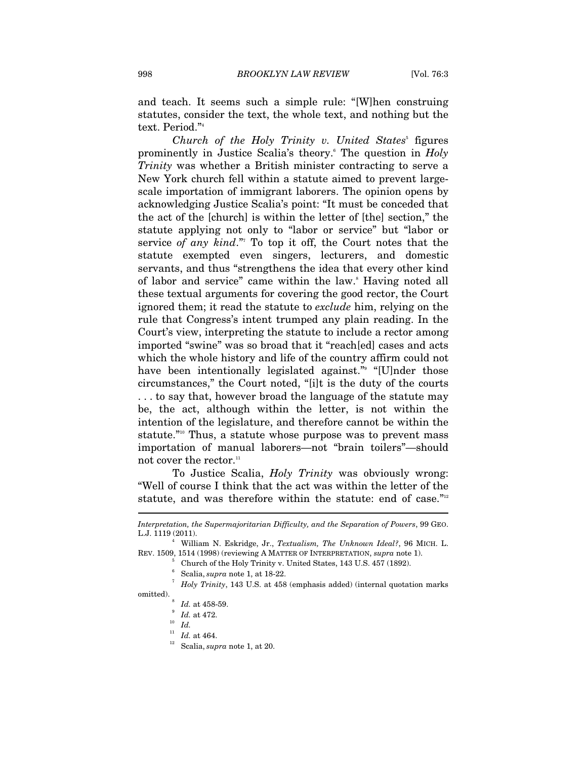and teach. It seems such a simple rule: "[W]hen construing statutes, consider the text, the whole text, and nothing but the text. Period."4

Church of the Holy Trinity v. United States<sup>5</sup> figures prominently in Justice Scalia's theory.6 The question in *Holy Trinity* was whether a British minister contracting to serve a New York church fell within a statute aimed to prevent largescale importation of immigrant laborers. The opinion opens by acknowledging Justice Scalia's point: "It must be conceded that the act of the [church] is within the letter of [the] section," the statute applying not only to "labor or service" but "labor or service *of any kind*." To top it off, the Court notes that the statute exempted even singers, lecturers, and domestic servants, and thus "strengthens the idea that every other kind of labor and service" came within the law.<sup>8</sup> Having noted all these textual arguments for covering the good rector, the Court ignored them; it read the statute to *exclude* him, relying on the rule that Congress's intent trumped any plain reading. In the Court's view, interpreting the statute to include a rector among imported "swine" was so broad that it "reach[ed] cases and acts which the whole history and life of the country affirm could not have been intentionally legislated against." "[U]nder those circumstances," the Court noted, "[i]t is the duty of the courts . . . to say that, however broad the language of the statute may be, the act, although within the letter, is not within the intention of the legislature, and therefore cannot be within the statute."<sup>10</sup> Thus, a statute whose purpose was to prevent mass importation of manual laborers—not "brain toilers"—should not cover the rector.<sup>11</sup>

To Justice Scalia, *Holy Trinity* was obviously wrong: "Well of course I think that the act was within the letter of the statute, and was therefore within the statute: end of case."<sup>12</sup>  $\overline{a}$ 

*Interpretation, the Supermajoritarian Difficulty, and the Separation of Powers*, 99 GEO. L.J. 1119 (2011).

William N. Eskridge, Jr., *Textualism, The Unknown Ideal?*, 96 MICH. L. REV. 1509, 1514 (1998) (reviewing A MATTER OF INTERPRETATION, *supra* note 1). 5

Church of the Holy Trinity v. United States, 143 U.S. 457 (1892).

Scalia, *supra* note 1, at 18-22. 7

*Holy Trinity*, 143 U.S. at 458 (emphasis added) (internal quotation marks

omitted). *Id.* at 458-59.

<sup>&</sup>lt;sup>9</sup> *Id.* at 472.<br><sup>10</sup> *Id. Id.* at 464.

 $12$  Scalia, *supra* note 1, at 20.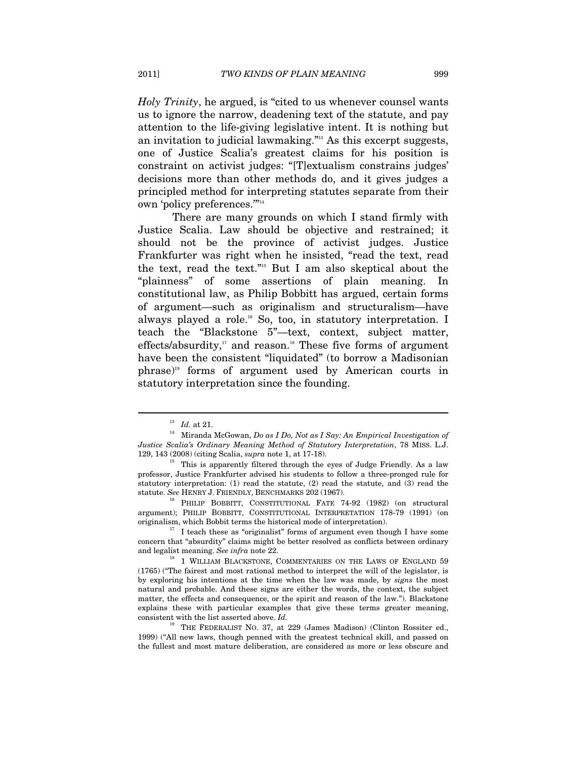*Holy Trinity*, he argued, is "cited to us whenever counsel wants us to ignore the narrow, deadening text of the statute, and pay attention to the life-giving legislative intent. It is nothing but an invitation to judicial lawmaking."<sup>13</sup> As this excerpt suggests, one of Justice Scalia's greatest claims for his position is constraint on activist judges: "[T]extualism constrains judges' decisions more than other methods do, and it gives judges a principled method for interpreting statutes separate from their own 'policy preferences.'"14

There are many grounds on which I stand firmly with Justice Scalia. Law should be objective and restrained; it should not be the province of activist judges. Justice Frankfurter was right when he insisted, "read the text, read the text, read the text."15 But I am also skeptical about the "plainness" of some assertions of plain meaning. In constitutional law, as Philip Bobbitt has argued, certain forms of argument—such as originalism and structuralism—have always played a role.<sup>16</sup> So, too, in statutory interpretation. I teach the "Blackstone 5"—text, context, subject matter, effects/absurdity, $17$  and reason.<sup>18</sup> These five forms of argument have been the consistent "liquidated" (to borrow a Madisonian phrase)19 forms of argument used by American courts in statutory interpretation since the founding.

<sup>&</sup>lt;sup>13</sup> *Id.* at 21.<br><sup>14</sup> Miranda McGowan, *Do as I Do, Not as I Say: An Empirical Investigation of Justice Scalia's Ordinary Meaning Method of Statutory Interpretation*, 78 MISS. L.J. 129, 143 (2008) (citing Scalia, *supra* note 1, at 17-18). 15 This is apparently filtered through the eyes of Judge Friendly. As a law

professor, Justice Frankfurter advised his students to follow a three-pronged rule for statutory interpretation: (1) read the statute, (2) read the statute, and (3) read the statute. *See* HENRY J. FRIENDLY, BENCHMARKS 202 (1967).<br><sup>16</sup> PHILIP BOBBITT, CONSTITUTIONAL FATE 74-92 (1982) (on structural

argument); PHILIP BOBBITT, CONSTITUTIONAL INTERPRETATION 178-79 (1991) (on

 $17$  I teach these as "originalist" forms of argument even though I have some concern that "absurdity" claims might be better resolved as conflicts between ordinary

and legalist meaning. *See infra* note 22.  $^{18}$  1 WILLIAM BLACKSTONE, COMMENTARIES ON THE LAWS OF ENGLAND 59 (1765) ("The fairest and most rational method to interpret the will of the legislator, is by exploring his intentions at the time when the law was made, by *signs* the most natural and probable. And these signs are either the words, the context, the subject matter, the effects and consequence, or the spirit and reason of the law."). Blackstone explains these with particular examples that give these terms greater meaning, consistent with the list asserted above. *Id.*

<sup>&</sup>lt;sup>19</sup> THE FEDERALIST NO. 37, at 229 (James Madison) (Clinton Rossiter ed., 1999) ("All new laws, though penned with the greatest technical skill, and passed on the fullest and most mature deliberation, are considered as more or less obscure and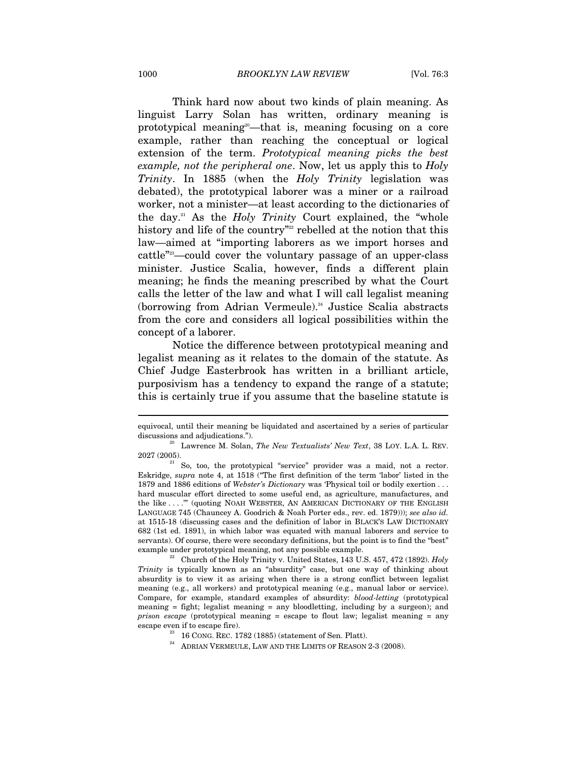Think hard now about two kinds of plain meaning. As linguist Larry Solan has written, ordinary meaning is prototypical meaning<sup>20</sup>—that is, meaning focusing on a core example, rather than reaching the conceptual or logical extension of the term. *Prototypical meaning picks the best example, not the peripheral one*. Now, let us apply this to *Holy Trinity*. In 1885 (when the *Holy Trinity* legislation was debated), the prototypical laborer was a miner or a railroad worker, not a minister—at least according to the dictionaries of the day.21 As the *Holy Trinity* Court explained, the "whole history and life of the country"<sup>22</sup> rebelled at the notion that this law—aimed at "importing laborers as we import horses and cattle"23—could cover the voluntary passage of an upper-class minister. Justice Scalia, however, finds a different plain meaning; he finds the meaning prescribed by what the Court calls the letter of the law and what I will call legalist meaning (borrowing from Adrian Vermeule).<sup>24</sup> Justice Scalia abstracts from the core and considers all logical possibilities within the concept of a laborer.

Notice the difference between prototypical meaning and legalist meaning as it relates to the domain of the statute. As Chief Judge Easterbrook has written in a brilliant article, purposivism has a tendency to expand the range of a statute; this is certainly true if you assume that the baseline statute is

equivocal, until their meaning be liquidated and ascertained by a series of particular discussions and adjudications."). 20 Lawrence M. Solan, *The New Textualists' New Text*, 38 LOY. L.A. L. REV.

<sup>2027 (2005). 21</sup> So, too, the prototypical "service" provider was a maid, not a rector. Eskridge, *supra* note 4, at 1518 ("The first definition of the term 'labor' listed in the 1879 and 1886 editions of *Webster's Dictionary* was 'Physical toil or bodily exertion . . . hard muscular effort directed to some useful end, as agriculture, manufactures, and the like . . . .'" (quoting NOAH WEBSTER, AN AMERICAN DICTIONARY OF THE ENGLISH LANGUAGE 745 (Chauncey A. Goodrich & Noah Porter eds., rev. ed. 1879))); *see also id.*  at 1515-18 (discussing cases and the definition of labor in BLACK'S LAW DICTIONARY 682 (1st ed. 1891), in which labor was equated with manual laborers and service to servants). Of course, there were secondary definitions, but the point is to find the "best"

example under prototypical meaning, not any possible example. 22 Church of the Holy Trinity v. United States, 143 U.S. 457, 472 (1892). *Holy Trinity* is typically known as an "absurdity" case, but one way of thinking about absurdity is to view it as arising when there is a strong conflict between legalist meaning (e.g., all workers) and prototypical meaning (e.g., manual labor or service). Compare, for example, standard examples of absurdity: *blood-letting* (prototypical meaning = fight; legalist meaning = any bloodletting, including by a surgeon); and *prison escape* (prototypical meaning = escape to flout law; legalist meaning = any escape even if to escape fire).  $^{23}$  16 CONG. REC. 1782 (1885) (statement of Sen. Platt).  $^{24}$  ADRIAN VERMEULE, LAW AND THE LIMITS OF REASON 2-3 (2008).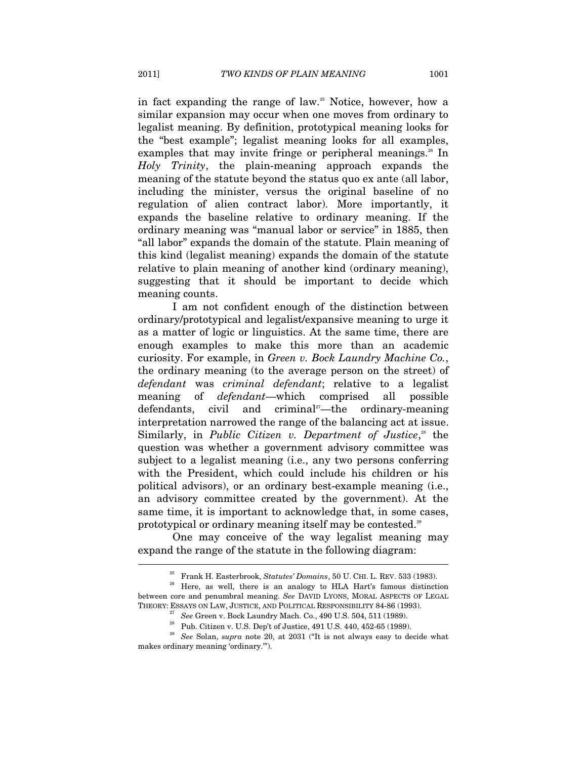in fact expanding the range of law.<sup>25</sup> Notice, however, how a similar expansion may occur when one moves from ordinary to legalist meaning. By definition, prototypical meaning looks for the "best example"; legalist meaning looks for all examples, examples that may invite fringe or peripheral meanings.<sup>26</sup> In *Holy Trinity*, the plain-meaning approach expands the meaning of the statute beyond the status quo ex ante (all labor, including the minister, versus the original baseline of no regulation of alien contract labor). More importantly, it expands the baseline relative to ordinary meaning. If the ordinary meaning was "manual labor or service" in 1885, then "all labor" expands the domain of the statute. Plain meaning of this kind (legalist meaning) expands the domain of the statute relative to plain meaning of another kind (ordinary meaning), suggesting that it should be important to decide which meaning counts.

I am not confident enough of the distinction between ordinary/prototypical and legalist/expansive meaning to urge it as a matter of logic or linguistics. At the same time, there are enough examples to make this more than an academic curiosity. For example, in *Green v. Bock Laundry Machine Co.*, the ordinary meaning (to the average person on the street) of *defendant* was *criminal defendant*; relative to a legalist meaning of *defendant*—which comprised all possible defendants, civil and criminal<sup>27</sup>—the ordinary-meaning interpretation narrowed the range of the balancing act at issue. Similarly, in *Public Citizen v. Department of Justice*,<sup>28</sup> the question was whether a government advisory committee was subject to a legalist meaning (i.e., any two persons conferring with the President, which could include his children or his political advisors), or an ordinary best-example meaning (i.e., an advisory committee created by the government). At the same time, it is important to acknowledge that, in some cases, prototypical or ordinary meaning itself may be contested.<sup>29</sup>

One may conceive of the way legalist meaning may expand the range of the statute in the following diagram:  $\overline{a}$ 

 $^{25}$  Frank H. Easterbrook, *Statutes' Domains*, 50 U. CHI. L. REV. 533 (1983). Here, as well, there is an analogy to HLA Hart's famous distinction between core and penumbral meaning. *See DAVID LYONS, MORAL ASPECTS OF LEGAL* THEORY: ESSAYS ON LAW, JUSTICE, AND POLITICAL RESPONSIBILITY 84-86 (1993).

<sup>&</sup>lt;sup>27</sup> See Green v. Bock Laundry Mach. Co., 490 U.S. 504, 511 (1989).<br><sup>28</sup> Pub. Citizen v. U.S. Dep't of Justice, 491 U.S. 440, 452-65 (1989).<br><sup>29</sup> See Solan, *supra* note 20, at 2031 ("It is not always easy to decide what makes ordinary meaning 'ordinary.'").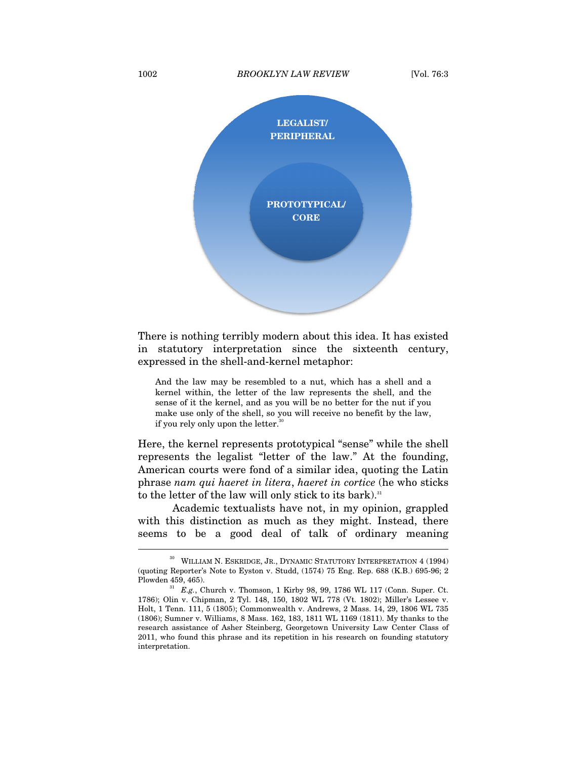1002 *BROOKLYN LAW REVIEW* [Vol. 76:3



There is nothing terribly modern about this idea. It has existed in statutory interpretation since the sixteenth century, expressed in the shell-and-kernel metaphor:

And the law may be resembled to a nut, which has a shell and a kernel within, the letter of the law represents the shell, and the sense of it the kernel, and as you will be no better for the nut if you make use only of the shell, so you will receive no benefit by the law, if you rely only upon the letter. $30$ 

Here, the kernel represents prototypical "sense" while the shell represents the legalist "letter of the law." At the founding, American courts were fond of a similar idea, quoting the Latin phrase *nam qui haeret in litera*, *haeret in cortice* (he who sticks to the letter of the law will only stick to its bark).<sup>31</sup>

Academic textualists have not, in my opinion, grappled with this distinction as much as they might. Instead, there seems to be a good deal of talk of ordinary meaning

<sup>30</sup> WILLIAM N. ESKRIDGE, JR., DYNAMIC STATUTORY INTERPRETATION 4 (1994) (quoting Reporter's Note to Eyston v. Studd, (1574) 75 Eng. Rep. 688 (K.B.) 695-96; 2 Plowden 459, 465).  $E.g.,$  Church v. Thomson, 1 Kirby 98, 99, 1786 WL 117 (Conn. Super. Ct.

<sup>1786);</sup> Olin v. Chipman, 2 Tyl. 148, 150, 1802 WL 778 (Vt. 1802); Miller's Lessee v. Holt, 1 Tenn. 111, 5 (1805); Commonwealth v. Andrews, 2 Mass. 14, 29, 1806 WL 735 (1806); Sumner v. Williams, 8 Mass. 162, 183, 1811 WL 1169 (1811). My thanks to the research assistance of Asher Steinberg, Georgetown University Law Center Class of 2011, who found this phrase and its repetition in his research on founding statutory interpretation.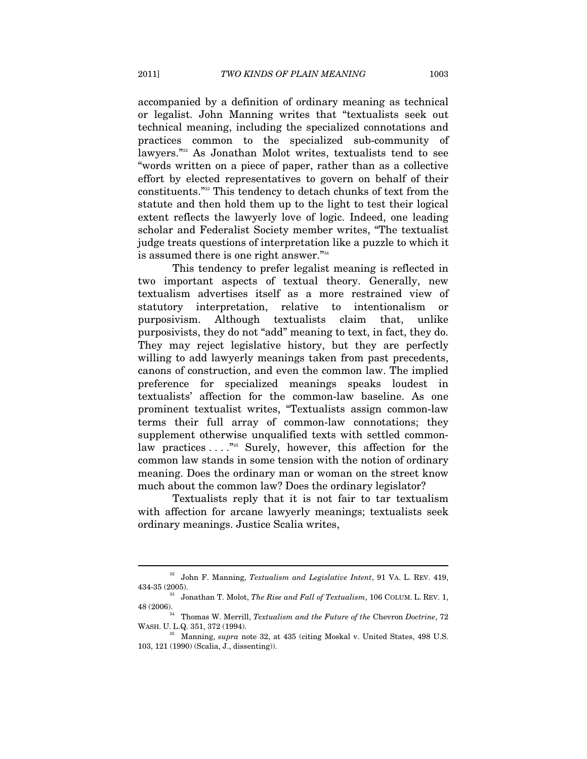accompanied by a definition of ordinary meaning as technical or legalist. John Manning writes that "textualists seek out technical meaning, including the specialized connotations and practices common to the specialized sub-community of lawyers."<sup>32</sup> As Jonathan Molot writes, textualists tend to see "words written on a piece of paper, rather than as a collective effort by elected representatives to govern on behalf of their constituents."33 This tendency to detach chunks of text from the statute and then hold them up to the light to test their logical extent reflects the lawyerly love of logic. Indeed, one leading scholar and Federalist Society member writes, "The textualist judge treats questions of interpretation like a puzzle to which it is assumed there is one right answer."<sup>34</sup>

This tendency to prefer legalist meaning is reflected in two important aspects of textual theory. Generally, new textualism advertises itself as a more restrained view of statutory interpretation, relative to intentionalism or purposivism. Although textualists claim that, unlike purposivists, they do not "add" meaning to text, in fact, they do. They may reject legislative history, but they are perfectly willing to add lawyerly meanings taken from past precedents, canons of construction, and even the common law. The implied preference for specialized meanings speaks loudest in textualists' affection for the common-law baseline. As one prominent textualist writes, "Textualists assign common-law terms their full array of common-law connotations; they supplement otherwise unqualified texts with settled commonlaw practices . . . . . . . . . Surely, however, this affection for the common law stands in some tension with the notion of ordinary meaning. Does the ordinary man or woman on the street know much about the common law? Does the ordinary legislator?

Textualists reply that it is not fair to tar textualism with affection for arcane lawyerly meanings; textualists seek ordinary meanings. Justice Scalia writes,

<sup>32</sup> John F. Manning, *Textualism and Legislative Intent*, 91 VA. L. REV. 419, 434-35 (2005). 33 Jonathan T. Molot, *The Rise and Fall of Textualism*, <sup>106</sup> COLUM. L. REV. 1,

<sup>48 (2006). 34</sup> Thomas W. Merrill, *Textualism and the Future of the* Chevron *Doctrine*, 72

WASH. U. L.Q. 351, 372 (1994).

<sup>35</sup> Manning, *supra* note 32, at 435 (citing Moskal v. United States, 498 U.S. 103, 121 (1990) (Scalia, J., dissenting)).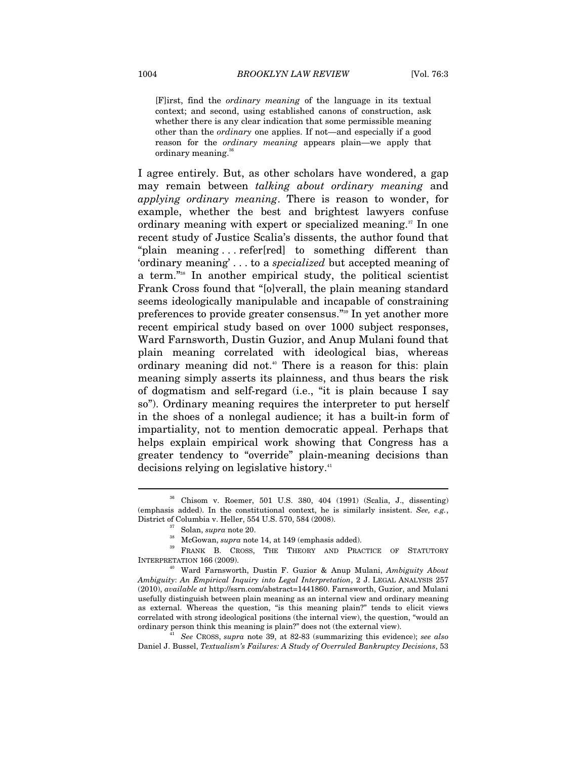[F]irst, find the *ordinary meaning* of the language in its textual context; and second, using established canons of construction, ask whether there is any clear indication that some permissible meaning other than the *ordinary* one applies. If not—and especially if a good reason for the *ordinary meaning* appears plain—we apply that ordinary meaning.<sup>36</sup>

I agree entirely. But, as other scholars have wondered, a gap may remain between *talking about ordinary meaning* and *applying ordinary meaning*. There is reason to wonder, for example, whether the best and brightest lawyers confuse ordinary meaning with expert or specialized meaning.<sup>37</sup> In one recent study of Justice Scalia's dissents, the author found that "plain meaning . . . refer[red] to something different than 'ordinary meaning' . . . to a *specialized* but accepted meaning of a term."38 In another empirical study, the political scientist Frank Cross found that "[o]verall, the plain meaning standard seems ideologically manipulable and incapable of constraining preferences to provide greater consensus."39 In yet another more recent empirical study based on over 1000 subject responses, Ward Farnsworth, Dustin Guzior, and Anup Mulani found that plain meaning correlated with ideological bias, whereas ordinary meaning did not.<sup>40</sup> There is a reason for this: plain meaning simply asserts its plainness, and thus bears the risk of dogmatism and self-regard (i.e., "it is plain because I say so"). Ordinary meaning requires the interpreter to put herself in the shoes of a nonlegal audience; it has a built-in form of impartiality, not to mention democratic appeal. Perhaps that helps explain empirical work showing that Congress has a greater tendency to "override" plain-meaning decisions than decisions relying on legislative history.<sup>41</sup>

 $\overline{a}$ 

<sup>41</sup> See CROSS, *supra* note 39, at 82-83 (summarizing this evidence); *see also* Daniel J. Bussel, *Textualism's Failures: A Study of Overruled Bankruptcy Decisions*, 53

<sup>36</sup> Chisom v. Roemer, 501 U.S. 380, 404 (1991) (Scalia, J., dissenting) (emphasis added). In the constitutional context, he is similarly insistent. *See, e.g.*,

District of Columbia v. Heller, 554 U.S. 570, 584 (2008). 37 Solan, *supra* note 20. 38 McGowan, *supra* note 14, at 149 (emphasis added). 39 FRANK B. CROSS, THE THEORY AND PRACTICE OF STATUTORY INTERPRETATION 166 (2009). 40 Ward Farnsworth, Dustin F. Guzior & Anup Mulani, *Ambiguity About* 

*Ambiguity*: *An Empirical Inquiry into Legal Interpretation*, 2 J. LEGAL ANALYSIS 257 (2010), *available at* http://ssrn.com/abstract=1441860. Farnsworth, Guzior, and Mulani usefully distinguish between plain meaning as an internal view and ordinary meaning as external. Whereas the question, "is this meaning plain?" tends to elicit views correlated with strong ideological positions (the internal view), the question, "would an ordinary person think this meaning is plain?" does not (the external view).